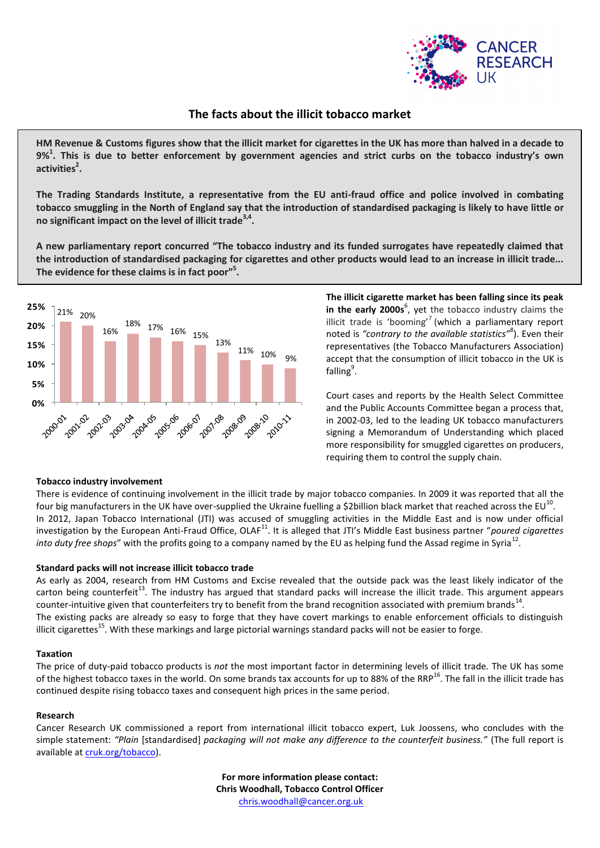

# **The facts about the illicit tobacco market**

**HM Revenue & Customs figures show that the illicit market for cigarettes in the UK has more than halved in a decade to 9%<sup>1</sup> . This is due to better enforcement by government agencies and strict curbs on the tobacco industry's own activities<sup>2</sup> .**

**The Trading Standards Institute, a representative from the EU anti-fraud office and police involved in combating tobacco smuggling in the North of England say that the introduction of standardised packaging is likely to have little or no significant impact on the level of illicit trade3,4 .** 

**A new parliamentary report concurred "The tobacco industry and its funded surrogates have repeatedly claimed that the introduction of standardised packaging for cigarettes and other products would lead to an increase in illicit trade... The evidence for these claims is in fact poor"<sup>5</sup> .**



**The illicit cigarette market has been falling since its peak** in the early 2000s<sup>6</sup>, yet the tobacco industry claims the illicit trade is 'booming'<sup>7</sup> (which a parliamentary report noted is *"contrary to the available statistics"*<sup>8</sup> ). Even their representatives (the Tobacco Manufacturers Association) accept that the consumption of illicit tobacco in the UK is falling<sup>9</sup>.

Court cases and reports by the Health Select Committee and the Public Accounts Committee began a process that, in 2002-03, led to the leading UK tobacco manufacturers signing a Memorandum of Understanding which placed more responsibility for smuggled cigarettes on producers, requiring them to control the supply chain.

## **Tobacco industry involvement**

There is evidence of continuing involvement in the illicit trade by major tobacco companies. In 2009 it was reported that all the four big manufacturers in the UK have over-supplied the Ukraine fuelling a \$2billion black market that reached across the EU<sup>10</sup>. In 2012, Japan Tobacco International (JTI) was accused of smuggling activities in the Middle East and is now under official investigation by the European Anti-Fraud Office, OLAF<sup>11</sup>. It is alleged that JTI's Middle East business partner "poured cigarettes *into duty free shops*" with the profits going to a company named by the EU as helping fund the Assad regime in Syria<sup>12</sup>.

## **Standard packs will not increase illicit tobacco trade**

As early as 2004, research from HM Customs and Excise revealed that the outside pack was the least likely indicator of the carton being counterfeit<sup>13</sup>. The industry has argued that standard packs will increase the illicit trade. This argument appears counter-intuitive given that counterfeiters try to benefit from the brand recognition associated with premium brands<sup>14</sup>. The existing packs are already so easy to forge that they have covert markings to enable enforcement officials to distinguish illicit cigarettes<sup>15</sup>. With these markings and large pictorial warnings standard packs will not be easier to forge.

#### **Taxation**

The price of duty-paid tobacco products is *not* the most important factor in determining levels of illicit trade. The UK has some of the highest tobacco taxes in the world. On some brands tax accounts for up to 88% of the RRP<sup>16</sup>. The fall in the illicit trade has continued despite rising tobacco taxes and consequent high prices in the same period.

#### **Research**

Cancer Research UK commissioned a report from international illicit tobacco expert, Luk Joossens, who concludes with the simple statement: *"Plain* [standardised] *packaging will not make any difference to the counterfeit business."* (The full report is available a[t cruk.org/tobacco\)](http://www.cruk.org/tobacco).

> **For more information please contact: Chris Woodhall, Tobacco Control Officer** [chris.woodhall@cancer.org.uk](mailto:chris.woodhall@cancer.org.uk)